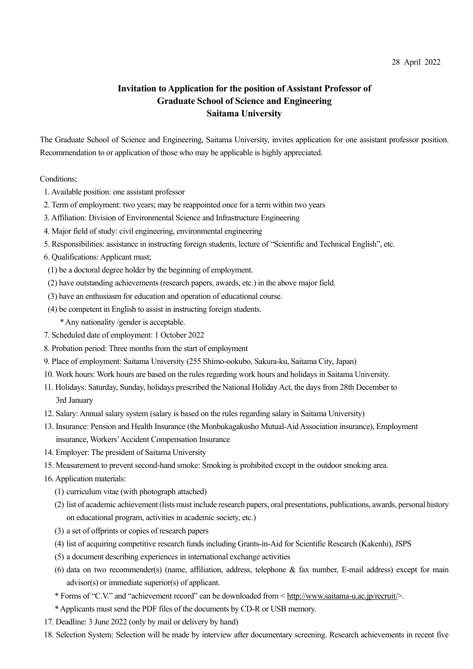## 28 April 2022

## **Invitation to Application for the position of Assistant Professor of Graduate School of Science and Engineering Saitama University**

The Graduate School of Science and Engineering, Saitama University, invites application for one assistant professor position. Recommendation to or application of those who may be applicable is highly appreciated.

## Conditions;

- 1. Available position: one assistant professor
- 2. Term of employment: two years; may be reappointed once for a term within two years
- 3. Affiliation: Division of Environmental Science and Infrastructure Engineering
- 4. Major field of study: civil engineering, environmental engineering
- 5. Responsibilities: assistance in instructing foreign students, lecture of "Scientific and Technical English", etc.
- 6. Qualifications:Applicant must;
- (1) be a doctoral degree holder by the beginning of employment.
- (2) have outstanding achievements (research papers, awards, etc.) in the above major field.
- (3) have an enthusiasm for education and operation of educational course.
- (4) be competent in English to assist in instructing foreign students.
	- \* Any nationality /gender is acceptable.
- 7. Scheduled date of employment: 1 October 2022
- 8. Probation period: Three months from the start of employment
- 9. Place of employment: Saitama University (255 Shimo-ookubo, Sakura-ku, Saitama City, Japan)
- 10. Work hours: Work hours are based on the rules regarding work hours and holidays in Saitama University.
- 11. Holidays: Saturday, Sunday, holidays prescribed the National Holiday Act, the days from 28th December to 3rd January
- 12. Salary:Annual salary system (salary is based on the rules regarding salary in Saitama University)
- 13. Insurance: Pension and Health Insurance (the Monbukagakusho Mutual-Aid Association insurance), Employment insurance, Workers'Accident Compensation Insurance
- 14. Employer: The president of Saitama University
- 15. Measurement to prevent second-hand smoke: Smoking is prohibited except in the outdoor smoking area.
- 16. Application materials:
	- (1) curriculum vitae (with photograph attached)
	- (2) list of academic achievement(lists must include research papers, oral presentations, publications, awards, personal history on educational program, activities in academic society, etc.)
	- (3) a set of offprints or copies of research papers
	- (4) list of acquiring competitive research funds including Grants-in-Aid for Scientific Research (Kakenhi), JSPS
	- (5) a document describing experiences in international exchange activities
	- (6) data on two recommender(s) (name, affiliation, address, telephone & fax number, E-mail address) except for main advisor(s) or immediate superior(s) of applicant.
	- \* Forms of "C.V." and "achievement record" can be downloaded from < http://www.saitama-u.ac.jp/recruit/>.
	- \* Applicants must send the PDF files of the documents by CD-R or USB memory.
- 17. Deadline: 3 June 2022 (only by mail or delivery by hand)
- 18. Selection System: Selection will be made by interview after documentary screening. Research achievements in recent five